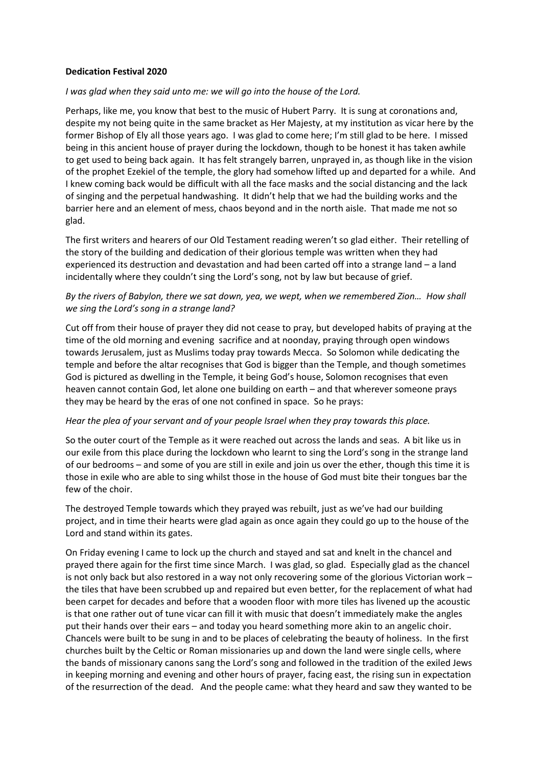## **Dedication Festival 2020**

## *I was glad when they said unto me: we will go into the house of the Lord.*

Perhaps, like me, you know that best to the music of Hubert Parry. It is sung at coronations and, despite my not being quite in the same bracket as Her Majesty, at my institution as vicar here by the former Bishop of Ely all those years ago. I was glad to come here; I'm still glad to be here. I missed being in this ancient house of prayer during the lockdown, though to be honest it has taken awhile to get used to being back again. It has felt strangely barren, unprayed in, as though like in the vision of the prophet Ezekiel of the temple, the glory had somehow lifted up and departed for a while. And I knew coming back would be difficult with all the face masks and the social distancing and the lack of singing and the perpetual handwashing. It didn't help that we had the building works and the barrier here and an element of mess, chaos beyond and in the north aisle. That made me not so glad.

The first writers and hearers of our Old Testament reading weren't so glad either. Their retelling of the story of the building and dedication of their glorious temple was written when they had experienced its destruction and devastation and had been carted off into a strange land – a land incidentally where they couldn't sing the Lord's song, not by law but because of grief.

## *By the rivers of Babylon, there we sat down, yea, we wept, when we remembered Zion… How shall we sing the Lord's song in a strange land?*

Cut off from their house of prayer they did not cease to pray, but developed habits of praying at the time of the old morning and evening sacrifice and at noonday, praying through open windows towards Jerusalem, just as Muslims today pray towards Mecca. So Solomon while dedicating the temple and before the altar recognises that God is bigger than the Temple, and though sometimes God is pictured as dwelling in the Temple, it being God's house, Solomon recognises that even heaven cannot contain God, let alone one building on earth – and that wherever someone prays they may be heard by the eras of one not confined in space. So he prays:

## *Hear the plea of your servant and of your people Israel when they pray towards this place.*

So the outer court of the Temple as it were reached out across the lands and seas. A bit like us in our exile from this place during the lockdown who learnt to sing the Lord's song in the strange land of our bedrooms – and some of you are still in exile and join us over the ether, though this time it is those in exile who are able to sing whilst those in the house of God must bite their tongues bar the few of the choir.

The destroyed Temple towards which they prayed was rebuilt, just as we've had our building project, and in time their hearts were glad again as once again they could go up to the house of the Lord and stand within its gates.

On Friday evening I came to lock up the church and stayed and sat and knelt in the chancel and prayed there again for the first time since March. I was glad, so glad. Especially glad as the chancel is not only back but also restored in a way not only recovering some of the glorious Victorian work – the tiles that have been scrubbed up and repaired but even better, for the replacement of what had been carpet for decades and before that a wooden floor with more tiles has livened up the acoustic is that one rather out of tune vicar can fill it with music that doesn't immediately make the angles put their hands over their ears – and today you heard something more akin to an angelic choir. Chancels were built to be sung in and to be places of celebrating the beauty of holiness. In the first churches built by the Celtic or Roman missionaries up and down the land were single cells, where the bands of missionary canons sang the Lord's song and followed in the tradition of the exiled Jews in keeping morning and evening and other hours of prayer, facing east, the rising sun in expectation of the resurrection of the dead. And the people came: what they heard and saw they wanted to be